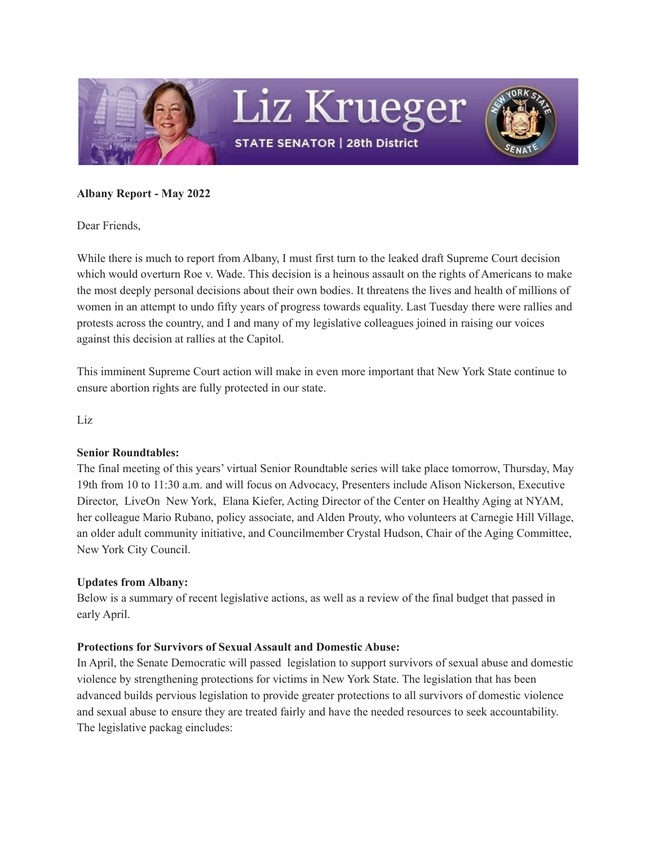

#### **Albany Report - May 2022**

Dear Friends,

While there is much to report from Albany, I must first turn to the leaked draft Supreme Court decision which would overturn Roe v. Wade. This decision is a heinous assault on the rights of Americans to make the most deeply personal decisions about their own bodies. It threatens the lives and health of millions of women in an attempt to undo fifty years of progress towards equality. Last Tuesday there were rallies and protests across the country, and I and many of my legislative colleagues joined in raising our voices against this decision at rallies at the Capitol.

This imminent Supreme Court action will make in even more important that New York State continue to ensure abortion rights are fully protected in our state.

Liz

#### **Senior Roundtables:**

The final meeting of this years' virtual Senior Roundtable series will take place tomorrow, Thursday, May 19th from 10 to 11:30 a.m. and will focus on Advocacy, Presenters include Alison Nickerson, Executive Director, LiveOn New York, Elana Kiefer, Acting Director of the Center on Healthy Aging at NYAM, her colleague Mario Rubano, policy associate, and Alden Prouty, who volunteers at Carnegie Hill Village, an older adult community initiative, and Councilmember Crystal Hudson, Chair of the Aging Committee, New York City Council.

#### **Updates from Albany:**

Below is a summary of recent legislative actions, as well as a review of the final budget that passed in early April.

#### **Protections for Survivors of Sexual Assault and Domestic Abuse:**

In April, the Senate Democratic will passed legislation to support survivors of sexual abuse and domestic violence by strengthening protections for victims in New York State. The legislation that has been advanced builds pervious legislation to provide greater protections to all survivors of domestic violence and sexual abuse to ensure they are treated fairly and have the needed resources to seek accountability. The legislative packag eincludes: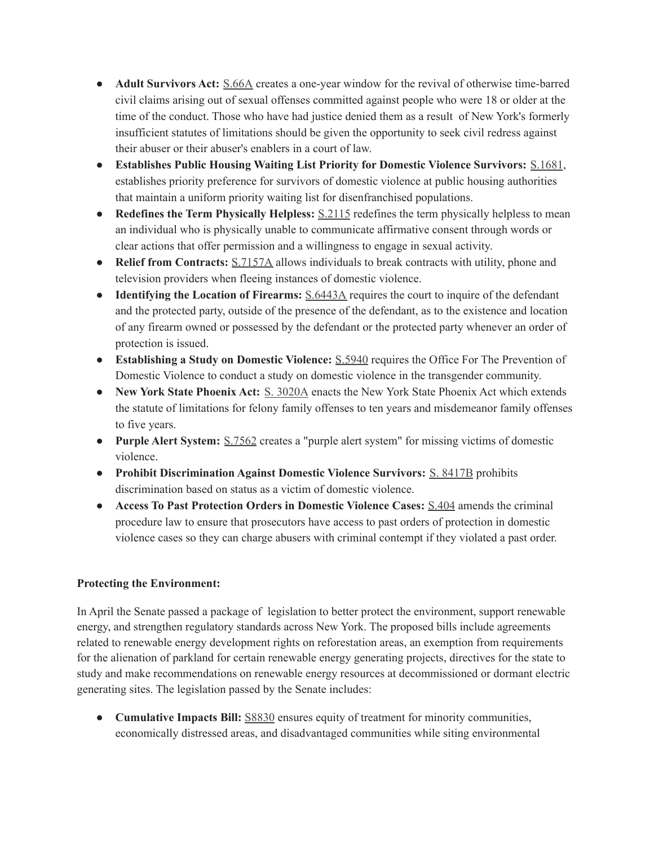- **Adult Survivors Act:** [S.66A](http://email.sts.nysenate.gov/ls/click?upn=6lfwSXklqZN5c5KKhNEAmZnPmK-2F-2B4y0qeNSIopQ69yev6DYAOg6ebn2cVv1ogmhB3j1Yl-2BGWXwdEXRRTOfpFYw-3D-3D7fjL_EFaYE6byU8xmv53bP-2FtPjLUFooL9pJiP0TjoX0IJ0UjWbCQqp-2B-2BhWAZHO6lLcV0IxKe6EmxtrHHs3ubmYz-2FR-2Fdi0XXGMT9-2F3J8G8iEd8wvg1QjWt6cKLRhHPob0kJaLH91YuHlsT6mZ-2FX-2FHdpS3QrL8MVHCbs-2FwaUGHnxNu62U62-2F6KqbFOxJnGNnO1Uc4ZeeH3CdStIttPqAqriT1k93Sa2NXH1PnljeJ1y3IP-2FMxS-2FAKerrGUYrqFyzSGVsXCZUpAt49aqDcMYOg23kKQ298rOofJuNNnRfTDREYF1y3-2BA8rurL02BdOSaebIgHZBTwdiqOEzGv1JdCE1-2BfxZ3scmfGxXmMGhwiuZb-2Ff58nHzOWL6afL3sIdbrllIzLsg-2F982ceuiDiXooJijkgXmW-2FJP9ODxFyQwRwqzH7nOPZj4HMUSsbdcgRjJ4YTM66daIs23UM-2FiVGTXj3pcTExXhgNRUiM2-2FgAhHhdzauED-2BefTTtvATEu-2Fu-2B9O9qBxnKDOKu9O5SUBHomxwiLh0n7yGmQ-3D-3D) creates a one-year window for the revival of otherwise time-barred civil claims arising out of sexual offenses committed against people who were 18 or older at the time of the conduct. Those who have had justice denied them as a result of New York's formerly insufficient statutes of limitations should be given the opportunity to seek civil redress against their abuser or their abuser's enablers in a court of law.
- **Establishes Public Housing Waiting List Priority for Domestic Violence Survivors:** [S.1681](http://email.sts.nysenate.gov/ls/click?upn=6lfwSXklqZN5c5KKhNEAmZnPmK-2F-2B4y0qeNSIopQ69yev6DYAOg6ebn2cVv1ogmhBDBP-2BuuFMz0q4wXJ1z0kJOw-3D-3D20K7_EFaYE6byU8xmv53bP-2FtPjLUFooL9pJiP0TjoX0IJ0UjWbCQqp-2B-2BhWAZHO6lLcV0IxKe6EmxtrHHs3ubmYz-2FR-2Fdi0XXGMT9-2F3J8G8iEd8wvg1QjWt6cKLRhHPob0kJaLH91YuHlsT6mZ-2FX-2FHdpS3QrL8MVHCbs-2FwaUGHnxNu62U62-2F6KqbFOxJnGNnO1Uc4ZeeH3CdStIttPqAqriT1k93Sa2NXH1PnljeJ1y3IP-2FMxS-2FAKerrGUYrqFyzSGVsXCZUpAt49aqDcMYOg23kKQ298rOofJuNNnRfTDREYF1y38HMZpvwWXGNRhfuKjUXDGIMLtxRW5n5WEwdT6XdUuk5tOFp4hkdhDGAtpZX3ynSTs-2FGRbjCojP0hTQXLsQnQ-2B9tq2BhpOJHYlp5I-2B2ciC5iNQzn0vZ1kjGMnhiImKoQj-2FsQHk-2FGo5AzvT-2BTiBFxXgVFJZax-2Fk5sJQ4tvvsuYFBuH11Ed-2FWKw-2BDi4mM7ywTw9Yl0lBX1soRO4WX4pPYq7pNaAzhlpvyEyIQy9VLzVOmaQ-3D-3D), establishes priority preference for survivors of domestic violence at public housing authorities that maintain a uniform priority waiting list for disenfranchised populations.
- **Redefines the Term Physically Helpless:** [S.2115](http://email.sts.nysenate.gov/ls/click?upn=6lfwSXklqZN5c5KKhNEAmZnPmK-2F-2B4y0qeNSIopQ69yev6DYAOg6ebn2cVv1ogmhBDW-2Bwr1feCe389oQAMHFa4g-3D-3DxBpn_EFaYE6byU8xmv53bP-2FtPjLUFooL9pJiP0TjoX0IJ0UjWbCQqp-2B-2BhWAZHO6lLcV0IxKe6EmxtrHHs3ubmYz-2FR-2Fdi0XXGMT9-2F3J8G8iEd8wvg1QjWt6cKLRhHPob0kJaLH91YuHlsT6mZ-2FX-2FHdpS3QrL8MVHCbs-2FwaUGHnxNu62U62-2F6KqbFOxJnGNnO1Uc4ZeeH3CdStIttPqAqriT1k93Sa2NXH1PnljeJ1y3IP-2FMxS-2FAKerrGUYrqFyzSGVsXCZUpAt49aqDcMYOg23kKQ298rOofJuNNnRfTDREYF1y38mhCXPSbKcOAc1-2BZ28TtpHxAnCtqHBjz35VxyskFRwSlqjc2EXretdeLn8nWrG6gfw1OwTPwu2a30H3SPtfoiqp0KhozwE9Q1olrK9-2FvB2dTEMALFZ2t4oK-2F1B2ymvD3hKPnZAtfcSEsVuR-2BBDhnohT4mJHxc-2FeBTkge9N3HJaufeVtBQ8Tnk64AgO5YYYRZMViW1p4uHbfWjoinYO-2FAIR0txBX-2FitlW8ABxdcwwlhxQ-3D-3D) redefines the term physically helpless to mean an individual who is physically unable to communicate affirmative consent through words or clear actions that offer permission and a willingness to engage in sexual activity.
- **Relief from Contracts:** [S.7157A](http://email.sts.nysenate.gov/ls/click?upn=6lfwSXklqZN5c5KKhNEAmZnPmK-2F-2B4y0qeNSIopQ69yev6DYAOg6ebn2cVv1ogmhBe-2Be3imnd0WojEn-2BgrA3Xwg-3D-3DjacF_EFaYE6byU8xmv53bP-2FtPjLUFooL9pJiP0TjoX0IJ0UjWbCQqp-2B-2BhWAZHO6lLcV0IxKe6EmxtrHHs3ubmYz-2FR-2Fdi0XXGMT9-2F3J8G8iEd8wvg1QjWt6cKLRhHPob0kJaLH91YuHlsT6mZ-2FX-2FHdpS3QrL8MVHCbs-2FwaUGHnxNu62U62-2F6KqbFOxJnGNnO1Uc4ZeeH3CdStIttPqAqriT1k93Sa2NXH1PnljeJ1y3IP-2FMxS-2FAKerrGUYrqFyzSGVsXCZUpAt49aqDcMYOg23kKQ298rOofJuNNnRfTDREYF1y38eDb4O2ZicqbeVrNMUmmRBLsRKwrO4fKkj1-2B28h7Z94dnsKTUWG6DjJTCcRm8xr4opQwB-2F4G3VmwI4pXGENhAQLEl-2BapKRm0lSZlngT-2BEEWfVWEnMVx6ABui8sRiNTlY66tVVNMsF8w91x01TstYflbks3-2BpIxhoGhea5WQ07lQjIjVyZt-2Bd44XVcIZSb-2FYyya1ql1bYhuDQOoBUYLuLVz35YysRMykw5mE64GngfQlA-3D-3D) allows individuals to break contracts with utility, phone and television providers when fleeing instances of domestic violence.
- **Identifying the Location of Firearms:** [S.6443A](http://email.sts.nysenate.gov/ls/click?upn=6lfwSXklqZN5c5KKhNEAmZnPmK-2F-2B4y0qeNSIopQ69yev6DYAOg6ebn2cVv1ogmhBbkJX-2Fu99c6Suw-2BnBSSNLoQ-3D-3DIrpF_EFaYE6byU8xmv53bP-2FtPjLUFooL9pJiP0TjoX0IJ0UjWbCQqp-2B-2BhWAZHO6lLcV0IxKe6EmxtrHHs3ubmYz-2FR-2Fdi0XXGMT9-2F3J8G8iEd8wvg1QjWt6cKLRhHPob0kJaLH91YuHlsT6mZ-2FX-2FHdpS3QrL8MVHCbs-2FwaUGHnxNu62U62-2F6KqbFOxJnGNnO1Uc4ZeeH3CdStIttPqAqriT1k93Sa2NXH1PnljeJ1y3IP-2FMxS-2FAKerrGUYrqFyzSGVsXCZUpAt49aqDcMYOg23kKQ298rOofJuNNnRfTDREYF1y38xnztIkmywC9wH9UzeNA3l1KcaTnkilW2hoxgX-2FhKuKRFLTgjH7uxV1hzCxzwl4C15bM5518HAzCQWFnmxMZyH-2BGb02Z5vJR-2FJcgMnMg0I06hW9UnVw2YwlZImLWi1WdQ22NwkeFzeCNRacghnpGSvsr8yAKelWCOzPc5dWqveWuI89O-2BW2psrAfhVwwVdtZT3sfo1GAvU6fvROjB2-2FMzeAeW3fXVuYx4eOOVjMes7rg-3D-3D) requires the court to inquire of the defendant and the protected party, outside of the presence of the defendant, as to the existence and location of any firearm owned or possessed by the defendant or the protected party whenever an order of protection is issued.
- **Establishing a Study on Domestic Violence:** [S.5940](http://email.sts.nysenate.gov/ls/click?upn=6lfwSXklqZN5c5KKhNEAmZnPmK-2F-2B4y0qeNSIopQ69yev6DYAOg6ebn2cVv1ogmhB2rivxMhbTQyEcDEhOztBgA-3D-3D0zHl_EFaYE6byU8xmv53bP-2FtPjLUFooL9pJiP0TjoX0IJ0UjWbCQqp-2B-2BhWAZHO6lLcV0IxKe6EmxtrHHs3ubmYz-2FR-2Fdi0XXGMT9-2F3J8G8iEd8wvg1QjWt6cKLRhHPob0kJaLH91YuHlsT6mZ-2FX-2FHdpS3QrL8MVHCbs-2FwaUGHnxNu62U62-2F6KqbFOxJnGNnO1Uc4ZeeH3CdStIttPqAqriT1k93Sa2NXH1PnljeJ1y3IP-2FMxS-2FAKerrGUYrqFyzSGVsXCZUpAt49aqDcMYOg23kKQ298rOofJuNNnRfTDREYF1y39Fk7lwpFxIp6U1mmft-2BP1U2LI9WbQKRJtL1v0W9qd4gElGsAW2l5BhaYxV676asySvlorSsk4yU1rvpbBsGLRQPGtWRf7MyatmvHfb5nB24ig0G6C-2BBRBOueN-2Bj72fulHOCqRHo-2Bk5vHGpB6-2F4q5HLqM6JRet6kAVtOm0-2F05NOHp-2F7k47Fb2GKCZWCnAQ0OXsNNUwpeeX1Nbptusmt8OZq7fOq7vqB1kOo6-2Ba8EYgWrg-3D-3D) requires the Office For The Prevention of Domestic Violence to conduct a study on domestic violence in the transgender community.
- **New York State Phoenix Act:** S. [3020A](http://email.sts.nysenate.gov/ls/click?upn=6lfwSXklqZN5c5KKhNEAmZnPmK-2F-2B4y0qeNSIopQ69yev6DYAOg6ebn2cVv1ogmhB1Dcn7D-2F3HwOG1Jeyt3dj5g-3D-3DiG8s_EFaYE6byU8xmv53bP-2FtPjLUFooL9pJiP0TjoX0IJ0UjWbCQqp-2B-2BhWAZHO6lLcV0IxKe6EmxtrHHs3ubmYz-2FR-2Fdi0XXGMT9-2F3J8G8iEd8wvg1QjWt6cKLRhHPob0kJaLH91YuHlsT6mZ-2FX-2FHdpS3QrL8MVHCbs-2FwaUGHnxNu62U62-2F6KqbFOxJnGNnO1Uc4ZeeH3CdStIttPqAqriT1k93Sa2NXH1PnljeJ1y3IP-2FMxS-2FAKerrGUYrqFyzSGVsXCZUpAt49aqDcMYOg23kKQ298rOofJuNNnRfTDREYF1y39F9nnEA5bmhLBujuMJEltFQEy-2BbWdGPh5xf9ZrLZCzOIIOrcRxdsF29EqpkCM-2BVRW87G5eS4XemMXHlcNh-2FL0w7KT43VrpWg5sig5vqFkplW0mRDLNjJdwXWUEUXYgCaTjzM1Y8f6-2BsL03e5QqIosGSzRVMyTQdiF7RDIwNtQ8aW4cN30uSznEyenFcxsnmyp5rOMONEPwLAO9VQBFrxq0wHJdMvvpeOsPJ-2FElrTT-2BVg-3D-3D) enacts the New York State Phoenix Act which extends the statute of limitations for felony family offenses to ten years and misdemeanor family offenses to five years.
- **Purple Alert System:** [S.7562](http://email.sts.nysenate.gov/ls/click?upn=6lfwSXklqZN5c5KKhNEAmZnPmK-2F-2B4y0qeNSIopQ69yev6DYAOg6ebn2cVv1ogmhBOczIdTX2lR0qh5gDbMNysA-3D-3Dbn-X_EFaYE6byU8xmv53bP-2FtPjLUFooL9pJiP0TjoX0IJ0UjWbCQqp-2B-2BhWAZHO6lLcV0IxKe6EmxtrHHs3ubmYz-2FR-2Fdi0XXGMT9-2F3J8G8iEd8wvg1QjWt6cKLRhHPob0kJaLH91YuHlsT6mZ-2FX-2FHdpS3QrL8MVHCbs-2FwaUGHnxNu62U62-2F6KqbFOxJnGNnO1Uc4ZeeH3CdStIttPqAqriT1k93Sa2NXH1PnljeJ1y3IP-2FMxS-2FAKerrGUYrqFyzSGVsXCZUpAt49aqDcMYOg23kKQ298rOofJuNNnRfTDREYF1y38HG5x4V04Ng9s5a735o9GjY8UvwPrCmKhZxy5Uyy21-2FPSZQuxK88-2BG-2BrJDBJHfpwhXVTpMYtE9Rja8aQ19YTfPWsigzafidNW5cvKt8muVkBfaXLlq3K7FSx49bL6yyVHRgSfgavyu7sqTLTFe6lx6KUS8J30OFJncRXGr4o6cEfkRsS7TtceBefpggGE2oxlIbUItDV1kpDI-2FnZapmAoI2m-2BDf8DxmVvy4NjeFF-2FLgg-3D-3D) creates a "purple alert system" for missing victims of domestic violence.
- **Prohibit Discrimination Against Domestic Violence Survivors:** S. [8417B](http://email.sts.nysenate.gov/ls/click?upn=6lfwSXklqZN5c5KKhNEAmZnPmK-2F-2B4y0qeNSIopQ69yev6DYAOg6ebn2cVv1ogmhB7SeN0vGlT-2BM5Ac0jjFoUEQ-3D-3DoS2Q_EFaYE6byU8xmv53bP-2FtPjLUFooL9pJiP0TjoX0IJ0UjWbCQqp-2B-2BhWAZHO6lLcV0IxKe6EmxtrHHs3ubmYz-2FR-2Fdi0XXGMT9-2F3J8G8iEd8wvg1QjWt6cKLRhHPob0kJaLH91YuHlsT6mZ-2FX-2FHdpS3QrL8MVHCbs-2FwaUGHnxNu62U62-2F6KqbFOxJnGNnO1Uc4ZeeH3CdStIttPqAqriT1k93Sa2NXH1PnljeJ1y3IP-2FMxS-2FAKerrGUYrqFyzSGVsXCZUpAt49aqDcMYOg23kKQ298rOofJuNNnRfTDREYF1y3-2FtwOg-2FyIn8qJgyyfQQ-2BVFk3rLo18lqtQ2WKebWIu7Vtc6I6tdFfupQcJLZgZE594u-2F6QocIyXAgf3IiHJOsewB59mEn-2BrNufR1jRZYNCBwxxhIGX5QMuUB9Mxd4cYFuu0hwgAi6oxRMSo7ZnwulVq6wyTRcQYVfH647EhQJ4yrEKudpVGFiKaso5k6TmgzQjDBNMm6R8h43vE9fVuMKhuK0fC2wv2PhCykPB0MX6k1jw-3D-3D) prohibits discrimination based on status as a victim of domestic violence.
- **Access To Past Protection Orders in Domestic Violence Cases:** [S.404](http://email.sts.nysenate.gov/ls/click?upn=6lfwSXklqZN5c5KKhNEAmZnPmK-2F-2B4y0qeNSIopQ69yev6DYAOg6ebn2cVv1ogmhB6kqod2pMnLXEEhVKOZgKmg-3D-3DHssv_EFaYE6byU8xmv53bP-2FtPjLUFooL9pJiP0TjoX0IJ0UjWbCQqp-2B-2BhWAZHO6lLcV0IxKe6EmxtrHHs3ubmYz-2FR-2Fdi0XXGMT9-2F3J8G8iEd8wvg1QjWt6cKLRhHPob0kJaLH91YuHlsT6mZ-2FX-2FHdpS3QrL8MVHCbs-2FwaUGHnxNu62U62-2F6KqbFOxJnGNnO1Uc4ZeeH3CdStIttPqAqriT1k93Sa2NXH1PnljeJ1y3IP-2FMxS-2FAKerrGUYrqFyzSGVsXCZUpAt49aqDcMYOg23kKQ298rOofJuNNnRfTDREYF1y38xiKjVHfJvh-2FGCjzDjRYtiYY-2B-2FMSsf4eplgmvDEx-2B5WMHLJl8sueHgW0kQz20ONDp1ziwxq7GB3QdmMn3sbRjY9ywHPhARQhA06kH0jqqR4bqll0Agf7Seu5mYIopSNK2YcENwWFE2Fhh-2FOg8idWQZANPM7cUthz6-2FOm15ycu8YY2ZUH9fSfpQzo3LrHUlCpIdlxgnMbLIu-2BfyJIYZHuPOYuN-2FsKTiKPYejVjz0ZFTaQ-3D-3D) amends the criminal procedure law to ensure that prosecutors have access to past orders of protection in domestic violence cases so they can charge abusers with criminal contempt if they violated a past order.

# **Protecting the Environment:**

In April the Senate passed a package of legislation to better protect the environment, support renewable energy, and strengthen regulatory standards across New York. The proposed bills include agreements related to renewable energy development rights on reforestation areas, an exemption from requirements for the alienation of parkland for certain renewable energy generating projects, directives for the state to study and make recommendations on renewable energy resources at decommissioned or dormant electric generating sites. The legislation passed by the Senate includes:

● **Cumulative Impacts Bill:** [S8830](http://email.sts.nysenate.gov/ls/click?upn=6lfwSXklqZN5c5KKhNEAmZnPmK-2F-2B4y0qeNSIopQ69yev6DYAOg6ebn2cVv1ogmhBDGFHHUBeKJJnF80YoW8w9w-3D-3Dw9QW_EFaYE6byU8xmv53bP-2FtPjLUFooL9pJiP0TjoX0IJ0UjWbCQqp-2B-2BhWAZHO6lLcV0IxKe6EmxtrHHs3ubmYz-2FR-2Fdi0XXGMT9-2F3J8G8iEd8wvg1QjWt6cKLRhHPob0kJaLH91YuHlsT6mZ-2FX-2FHdpS3QrAUNsMy7wth5HAgt-2BkZyH0IV5OO3erY9lQSHXpFHUmKz9xWp4ya9225WPUgxwPVstnfT-2FffXKPRYUC9us854dQ6SPUpGGxxQLh5ofTLUn-2BXyrLvocvkXjQ0yRMDNaxaFfIuPRiFBjrkbUOF-2B4jX0S9tRgSzRFCRdlIoN76A81x7aVPUWucg3CvXPQC5KcPR68o920xjqEKXm51lfqx2OxRNfPRSzFHqpT41qNax3LOlkMOwlOnY9zFcYCvqGunPMNiZFWArPcIj4DNGCJnQd6RDxCmqa8HpOhGnWum32DcOttyNgFkgwkUlBI-2FA-2F1a8lq5-2Fk847Z1jN0OQV-2Fazjo9-2Fl-2B60K-2BtHIxnvE-2BUtUIt4G6dP1kTnr4y5SJPpNxh3tTfqGDcxCkPti-2FvTjSknTIn0A-3D) ensures equity of treatment for minority communities, economically distressed areas, and disadvantaged communities while siting environmental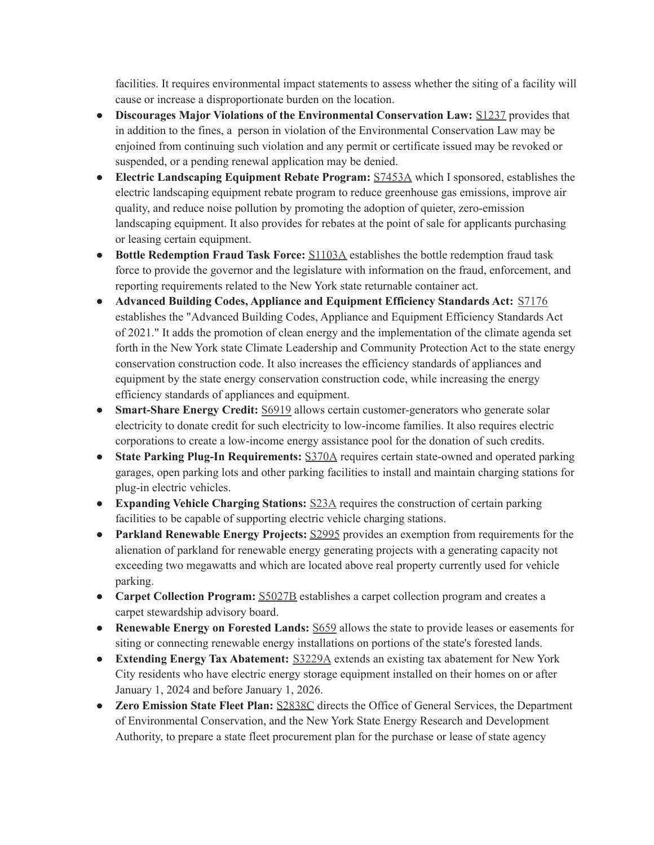facilities. It requires environmental impact statements to assess whether the siting of a facility will cause or increase a disproportionate burden on the location.

- **Discourages Major Violations of the Environmental Conservation Law:** [S1237](http://email.sts.nysenate.gov/ls/click?upn=6lfwSXklqZN5c5KKhNEAmZnPmK-2F-2B4y0qeNSIopQ69yev6DYAOg6ebn2cVv1ogmhBM7wrBzUOA8caFklyh-2BsxaA-3D-3Dx44i_EFaYE6byU8xmv53bP-2FtPjLUFooL9pJiP0TjoX0IJ0UjWbCQqp-2B-2BhWAZHO6lLcV0IxKe6EmxtrHHs3ubmYz-2FR-2Fdi0XXGMT9-2F3J8G8iEd8wvg1QjWt6cKLRhHPob0kJaLH91YuHlsT6mZ-2FX-2FHdpS3QrAUNsMy7wth5HAgt-2BkZyH0IV5OO3erY9lQSHXpFHUmKz9xWp4ya9225WPUgxwPVstnfT-2FffXKPRYUC9us854dQ6SPUpGGxxQLh5ofTLUn-2BXyrLvocvkXjQ0yRMDNaxaFfIuPRiFBjrkbUOF-2B4jX0S9vcpcqCS2oQOMcq13kgCozCvfnmfmS4q1JGpg7IAcQis8LhrsozJJJt7dEmvBoI8Cbs4uin3tMnj1yk9jxvTVipkKE3XdckQPLzI2xz46567B84qQHjdl1MBeCZa12RhKdTc-2Bc5FQTh816wbhBu2Bt9BlSdZXKDjk3952zszpDn0WGdeI3wM-2BThBgKW5pZbdH-2BG3MAX6QcsGgF3t2itzJuLXj7k4v4nHOJYgShsxyHVfe3K2-2FGbw5QwrleEXMXp5Ss-3D) provides that in addition to the fines, a person in violation of the Environmental Conservation Law may be enjoined from continuing such violation and any permit or certificate issued may be revoked or suspended, or a pending renewal application may be denied.
- **Electric Landscaping Equipment Rebate Program:** [S7453A](http://email.sts.nysenate.gov/ls/click?upn=6lfwSXklqZN5c5KKhNEAmZnPmK-2F-2B4y0qeNSIopQ69yev6DYAOg6ebn2cVv1ogmhBjrVVM98olIjAc1jg8rDcegReLY2Z1g8t45kTO-2FHPRILAbJ2whZPDJaqTGOTBLHVqq50-2BJ5-2FOdLbFFPBzbaurHom3d5jBEl5oCS2hG4Vl8qJHCRNjt-2B8pi2MNlvLmZxUqxiv1U1i43ENsOjPrh6IHZtXymLFqPIa7jHBEQtbrAig-3DgMG4_EFaYE6byU8xmv53bP-2FtPjLUFooL9pJiP0TjoX0IJ0UjWbCQqp-2B-2BhWAZHO6lLcV0IxKe6EmxtrHHs3ubmYz-2FR-2Fdi0XXGMT9-2F3J8G8iEd8wvg1QjWt6cKLRhHPob0kJaLH91YuHlsT6mZ-2FX-2FHdpS3QrAUNsMy7wth5HAgt-2BkZyH0IV5OO3erY9lQSHXpFHUmKz9xWp4ya9225WPUgxwPVstnfT-2FffXKPRYUC9us854dQ6SPUpGGxxQLh5ofTLUn-2BXyrLvocvkXjQ0yRMDNaxaFfIuPRiFBjrkbUOF-2B4jX0S9vMPxIDa41-2FgwBkpxRvYNNKwjunr9lCZyakAXdjMQJA8zdSuFKLLKjPs7-2B99azPpDLLOCVYIIeh4vriq2M2qXGgS6CylDmLX4gLPKi1IDHGVbbM91i94KQuAHQVBy-2FXp2Vge9BgkJbiCSF9fzvuCuq4M2wVdzJctw4Hn6HVqht82Lp0XXxMozbCgyjqocX3zjmqGHhYi-2BC2VGS94EVY2OeM4v9fYRkzN5z0DlGbsl5nfQSHlUQl8zmnRgt4OAgMf6U-3D) which I sponsored, establishes the electric landscaping equipment rebate program to reduce greenhouse gas emissions, improve air quality, and reduce noise pollution by promoting the adoption of quieter, zero-emission landscaping equipment. It also provides for rebates at the point of sale for applicants purchasing or leasing certain equipment.
- **Bottle Redemption Fraud Task Force:** [S1103A](http://email.sts.nysenate.gov/ls/click?upn=6lfwSXklqZN5c5KKhNEAmZnPmK-2F-2B4y0qeNSIopQ69yev6DYAOg6ebn2cVv1ogmhBvjzD1G9Wm6KYA5o5Xhbm9Q-3D-3DmDH8_EFaYE6byU8xmv53bP-2FtPjLUFooL9pJiP0TjoX0IJ0UjWbCQqp-2B-2BhWAZHO6lLcV0IxKe6EmxtrHHs3ubmYz-2FR-2Fdi0XXGMT9-2F3J8G8iEd8wvg1QjWt6cKLRhHPob0kJaLH91YuHlsT6mZ-2FX-2FHdpS3QrAUNsMy7wth5HAgt-2BkZyH0IV5OO3erY9lQSHXpFHUmKz9xWp4ya9225WPUgxwPVstnfT-2FffXKPRYUC9us854dQ6SPUpGGxxQLh5ofTLUn-2BXyrLvocvkXjQ0yRMDNaxaFfIuPRiFBjrkbUOF-2B4jX0S9ucB9-2FRbsPbVP9QO7ylvZA7tqZ4ULbLRLWrjOFKyC4BLYmKepOUDFLCPVDSR4ugttE0ppY0H56wS2s57ujq2MYULho4iL3H2Sztdymd01e2tSBlh8LJ9zKfMKoF85JUvdXh8GMoPvk6d0qOiuX33tR1oqtmJXzITzqGTpzKiCfL1oTNuQUUZmVdYf262QLv8eY21GijXTecdWVEF94y6jPgB7HzuMFVU9t7typX6wBsKZxRlMij7esX1vfTNhA3DAU-3D) establishes the bottle redemption fraud task force to provide the governor and the legislature with information on the fraud, enforcement, and reporting requirements related to the New York state returnable container act.
- **Advanced Building Codes, Appliance and Equipment Efficiency Standards Act:** [S7176](http://email.sts.nysenate.gov/ls/click?upn=6lfwSXklqZN5c5KKhNEAmZnPmK-2F-2B4y0qeNSIopQ69yev6DYAOg6ebn2cVv1ogmhBMapgRuxOIL9UnL6YITb1YQ-3D-3D-V9W_EFaYE6byU8xmv53bP-2FtPjLUFooL9pJiP0TjoX0IJ0UjWbCQqp-2B-2BhWAZHO6lLcV0IxKe6EmxtrHHs3ubmYz-2FR-2Fdi0XXGMT9-2F3J8G8iEd8wvg1QjWt6cKLRhHPob0kJaLH91YuHlsT6mZ-2FX-2FHdpS3QrAUNsMy7wth5HAgt-2BkZyH0IV5OO3erY9lQSHXpFHUmKz9xWp4ya9225WPUgxwPVstnfT-2FffXKPRYUC9us854dQ6SPUpGGxxQLh5ofTLUn-2BXyrLvocvkXjQ0yRMDNaxaFfIuPRiFBjrkbUOF-2B4jX0S9u8jsFHyA9b-2BIPXMK8IFZQztR7mQmYB-2F5LxjGwnphUS9RJ3v4aPnq5MtTxO77hU7wQnKAaQcXXTOdLjaCy0F4EfoN-2FliaUw6SE7aY7cHEovasUaOvNIprMETQJp6akfx5TSrRN69keJWNI-2BpJZt1KjjxA5px8Gs6soGH8kF-2F4J5Z4Oji3aTBxwRMwcMmT2wSMoDq2hi6FN4B7dU5CExQqiLlj-2FWcWgvYBTDSGBpVx9F32RDHXjxoV-2BAyvxYlia-2FbSU-3D) establishes the "Advanced Building Codes, Appliance and Equipment Efficiency Standards Act of 2021." It adds the promotion of clean energy and the implementation of the climate agenda set forth in the New York state Climate Leadership and Community Protection Act to the state energy conservation construction code. It also increases the efficiency standards of appliances and equipment by the state energy conservation construction code, while increasing the energy efficiency standards of appliances and equipment.
- **Smart-Share Energy Credit:** [S6919](http://email.sts.nysenate.gov/ls/click?upn=6lfwSXklqZN5c5KKhNEAmZnPmK-2F-2B4y0qeNSIopQ69yev6DYAOg6ebn2cVv1ogmhB9R-2FkHBJ99y505ydrVQjHFg-3D-3DfnSU_EFaYE6byU8xmv53bP-2FtPjLUFooL9pJiP0TjoX0IJ0UjWbCQqp-2B-2BhWAZHO6lLcV0IxKe6EmxtrHHs3ubmYz-2FR-2Fdi0XXGMT9-2F3J8G8iEd8wvg1QjWt6cKLRhHPob0kJaLH91YuHlsT6mZ-2FX-2FHdpS3QrAUNsMy7wth5HAgt-2BkZyH0IV5OO3erY9lQSHXpFHUmKz9xWp4ya9225WPUgxwPVstnfT-2FffXKPRYUC9us854dQ6SPUpGGxxQLh5ofTLUn-2BXyrLvocvkXjQ0yRMDNaxaFfIuPRiFBjrkbUOF-2B4jX0S9t7rCOl8KU9Mm7Hsa7kZkeMChJ7crB0bXCrtchSUN07mq2ADeE9yUR1YmLdOr4tvk0XHCFi62w9Gtb2VFi20ZfxKQILFAAKaSBG0mbJe8IRENqys4CN3GKmnOecd8pgOxwPhW7tyOKqOPruhxNSGnW2PhSDeQdMN3gtdeJteDupJr0DLBhrCIt9OoLxHO-2FeeyX458QXHA-2FNO2IfBox1Fs7FknNtqia7-2FtT6-2FaPcQaBeUE6gFvgWbq5JI7eO9mhcjrs-3D) allows certain customer-generators who generate solar electricity to donate credit for such electricity to low-income families. It also requires electric corporations to create a low-income energy assistance pool for the donation of such credits.
- **State Parking Plug-In Requirements:** [S370A](http://email.sts.nysenate.gov/ls/click?upn=6lfwSXklqZN5c5KKhNEAmZnPmK-2F-2B4y0qeNSIopQ69yev6DYAOg6ebn2cVv1ogmhBXns2tGPaf2niMY5DtpKnbA-3D-3DR78s_EFaYE6byU8xmv53bP-2FtPjLUFooL9pJiP0TjoX0IJ0UjWbCQqp-2B-2BhWAZHO6lLcV0IxKe6EmxtrHHs3ubmYz-2FR-2Fdi0XXGMT9-2F3J8G8iEd8wvg1QjWt6cKLRhHPob0kJaLH91YuHlsT6mZ-2FX-2FHdpS3QrAUNsMy7wth5HAgt-2BkZyH0IV5OO3erY9lQSHXpFHUmKz9xWp4ya9225WPUgxwPVstnfT-2FffXKPRYUC9us854dQ6SPUpGGxxQLh5ofTLUn-2BXyrLvocvkXjQ0yRMDNaxaFfIuPRiFBjrkbUOF-2B4jX0S9sDYN6zIsMVdhSG2TiuF5gfY0lFwl7eylB5IVT3qHBf-2BMxjw-2FRmCFQxusRYGWWRFlIIi4kjMyA5zLAq5FZqHHOIZ4aTesHVx3l3Yx6cmHW8gbubZEzu9Y-2FSEnrSr39e4qssETiAAlKlzd546IGzs43SsgFOEAyQ2gE5mFYkRg4GJeMi-2FmgPdNWqwVXXKHFAqcSzB1C-2FMuVMKbDuRZXJyO3gDsPHRkCfDCLFvUEdmYqL4UDO1xLMxHZt1aPxkY8bfgY-3D) requires certain state-owned and operated parking garages, open parking lots and other parking facilities to install and maintain charging stations for plug-in electric vehicles.
- **Expanding Vehicle Charging Stations:** [S23A](http://email.sts.nysenate.gov/ls/click?upn=6lfwSXklqZN5c5KKhNEAmZnPmK-2F-2B4y0qeNSIopQ69yev6DYAOg6ebn2cVv1ogmhBDhQs1l1zMeFw1CMXyn401g-3D-3D6LbY_EFaYE6byU8xmv53bP-2FtPjLUFooL9pJiP0TjoX0IJ0UjWbCQqp-2B-2BhWAZHO6lLcV0IxKe6EmxtrHHs3ubmYz-2FR-2Fdi0XXGMT9-2F3J8G8iEd8wvg1QjWt6cKLRhHPob0kJaLH91YuHlsT6mZ-2FX-2FHdpS3QrAUNsMy7wth5HAgt-2BkZyH0IV5OO3erY9lQSHXpFHUmKz9xWp4ya9225WPUgxwPVstnfT-2FffXKPRYUC9us854dQ6SPUpGGxxQLh5ofTLUn-2BXyrLvocvkXjQ0yRMDNaxaFfIuPRiFBjrkbUOF-2B4jX0S9sSJRDr-2BETjnXH-2BHAgn7OfDasAsYhF1nUWJStGC55usg-2B69og6OXaNUGqZSEl0fx-2Be0VCSbyVtUBCdK4HRobhrnUnrFkdv8NUn0R0UOxN9SZyPTB7-2FjUBmtzPk-2By9U155mLudhauN7hQI9Xjy5xjNxXJp2QMKzBODj8bTClOWVse2MLxmoowH7-2BGytyYmCV9QODkk4Yvu7FAt39gxraYYlMEYH7ShLH2yfgXfFqXrQH4taBReLu7C3YVy5VAUqFhLI-3D) requires the construction of certain parking facilities to be capable of supporting electric vehicle charging stations.
- **Parkland Renewable Energy Projects:** [S2995](http://email.sts.nysenate.gov/ls/click?upn=6lfwSXklqZN5c5KKhNEAmZnPmK-2F-2B4y0qeNSIopQ69yev6DYAOg6ebn2cVv1ogmhBwnTrCuOGez2g-2F76nohPckA-3D-3DetIZ_EFaYE6byU8xmv53bP-2FtPjLUFooL9pJiP0TjoX0IJ0UjWbCQqp-2B-2BhWAZHO6lLcV0IxKe6EmxtrHHs3ubmYz-2FR-2Fdi0XXGMT9-2F3J8G8iEd8wvg1QjWt6cKLRhHPob0kJaLH91YuHlsT6mZ-2FX-2FHdpS3QrAUNsMy7wth5HAgt-2BkZyH0IV5OO3erY9lQSHXpFHUmKz9xWp4ya9225WPUgxwPVstnfT-2FffXKPRYUC9us854dQ6SPUpGGxxQLh5ofTLUn-2BXyrLvocvkXjQ0yRMDNaxaFfIuPRiFBjrkbUOF-2B4jX0S9sKLsaRObYI6Q9mykwSXJdt4jC2fnv-2FbfIwHKJmt4VV-2B5t1-2F7Gh1ikBygleQ3UuCV25jAvNM4wSIR70YPlVLvONNbaefmyJTpsO1DjEvBJNpYGrWVL-2FtfciwY2WUUin-2BfikN-2FO1uvrLhZ9KGm8azFIl8cHtwOSlBNsIXTNvFyGk1yhVHSq8uoh6xW6Su1fqbBaeHmAnhdxRpBtI9sNmfVIUVHFcguu32p4YGq17wDwa-2BrnrOHtUrkuGhgSdhJJJZ2U-3D) provides an exemption from requirements for the alienation of parkland for renewable energy generating projects with a generating capacity not exceeding two megawatts and which are located above real property currently used for vehicle parking.
- **Carpet Collection Program:** [S5027B](http://email.sts.nysenate.gov/ls/click?upn=6lfwSXklqZN5c5KKhNEAmZnPmK-2F-2B4y0qeNSIopQ69yev6DYAOg6ebn2cVv1ogmhBNEdtrC9jmU3iw-2FVlox6UvQ-3D-3DhLJ3_EFaYE6byU8xmv53bP-2FtPjLUFooL9pJiP0TjoX0IJ0UjWbCQqp-2B-2BhWAZHO6lLcV0IxKe6EmxtrHHs3ubmYz-2FR-2Fdi0XXGMT9-2F3J8G8iEd8wvg1QjWt6cKLRhHPob0kJaLH91YuHlsT6mZ-2FX-2FHdpS3QrAUNsMy7wth5HAgt-2BkZyH0IV5OO3erY9lQSHXpFHUmKz9xWp4ya9225WPUgxwPVstnfT-2FffXKPRYUC9us854dQ6SPUpGGxxQLh5ofTLUn-2BXyrLvocvkXjQ0yRMDNaxaFfIuPRiFBjrkbUOF-2B4jX0S9vcYoV6T-2BfuK-2FOVeWSMfLDNiuwbd5bqoBn3dYgFokZZHJMn9CThvmugqnb2lI9h5MGZCj22KAADmNsvGAv0gYZ2BIN12NvVY4UHH2EPwgoz4w2UOvC188unxrrF2GFNT2QqnouDLIcPl4tdIOucqxxM1SAit2NUBn56a228sFBfrdtAfIfVAaKNzsNfN9R8fMzuDjp4TV-2BvfcI5qsvbWBzsHVO4aqkd-2BIuRY32ShPfmFN6k44gRZkUKvjiYrYrd1lI-3D) establishes a carpet collection program and creates a carpet stewardship advisory board.
- **Renewable Energy on Forested Lands:** [S659](http://email.sts.nysenate.gov/ls/click?upn=6lfwSXklqZN5c5KKhNEAmZnPmK-2F-2B4y0qeNSIopQ69yev6DYAOg6ebn2cVv1ogmhBgvwVqDHWJidhJeDbdAZDLA-3D-3DAZIR_EFaYE6byU8xmv53bP-2FtPjLUFooL9pJiP0TjoX0IJ0UjWbCQqp-2B-2BhWAZHO6lLcV0IxKe6EmxtrHHs3ubmYz-2FR-2Fdi0XXGMT9-2F3J8G8iEd8wvg1QjWt6cKLRhHPob0kJaLH91YuHlsT6mZ-2FX-2FHdpS3QrAUNsMy7wth5HAgt-2BkZyH0IV5OO3erY9lQSHXpFHUmKz9xWp4ya9225WPUgxwPVstnfT-2FffXKPRYUC9us854dQ6SPUpGGxxQLh5ofTLUn-2BXyrLvocvkXjQ0yRMDNaxaFfIuPRiFBjrkbUOF-2B4jX0S9v8LGWIPp7ts1BzCrIhKPD4BIPdeoTgv3di7w90ZF5zota2X1LADt1B-2BJqDWaTqBA7de7-2FZZFS7BuC3Ut82xrtMq9rYuM2Flo9e-2By7s8m9P-2Bc7jBNgZ9mm14VyYVKUIgD6XSXaXgWKGg3dGKor5Tpwmj-2FMRD5fJxqC3-2Fr5iG64zd9glw2-2F-2F96j6j6JM10xL2D5cp4atP08MvO48PkeR1WjNAVssE9B4MJOV7PTqYRyW4ZFtPvpcmb3zaM2R6uKVGfQ-3D) allows the state to provide leases or easements for siting or connecting renewable energy installations on portions of the state's forested lands.
- **Extending Energy Tax Abatement:** [S3229A](http://email.sts.nysenate.gov/ls/click?upn=6lfwSXklqZN5c5KKhNEAmZnPmK-2F-2B4y0qeNSIopQ69yev6DYAOg6ebn2cVv1ogmhBhBs6yD-2BYb4I-2BzeREBZaiqw-3D-3Dyqvx_EFaYE6byU8xmv53bP-2FtPjLUFooL9pJiP0TjoX0IJ0UjWbCQqp-2B-2BhWAZHO6lLcV0IxKe6EmxtrHHs3ubmYz-2FR-2Fdi0XXGMT9-2F3J8G8iEd8wvg1QjWt6cKLRhHPob0kJaLH91YuHlsT6mZ-2FX-2FHdpS3QrAUNsMy7wth5HAgt-2BkZyH0IV5OO3erY9lQSHXpFHUmKz9xWp4ya9225WPUgxwPVstnfT-2FffXKPRYUC9us854dQ6SPUpGGxxQLh5ofTLUn-2BXyrLvocvkXjQ0yRMDNaxaFfIuPRiFBjrkbUOF-2B4jX0S9siMdIGYruL9TQawlzuZ2g4k5oGA0xAJ-2FBKeb73ypj-2BaHNluhsGCkzuysqmp711BFnIYBFYFgvLwfBK5vPFAKqmPBMfp7G9NtjVNHQw4IFOn-2BXCCBKuHGV-2FfUtC4XS4IOTWnix3NmAAEo0m7MVfsj2OXvrJCLFprTz7yCHCnow5qtTnU7LU4jJa0Q1b3pCg5upFHi-2FvzTRWCCDqP6WrBf-2FuGspm-2FXv7uWTGqqnc4yyIoaRGE5BvQlSP9FqAvIIjhIc-3D) extends an existing tax abatement for New York City residents who have electric energy storage equipment installed on their homes on or after January 1, 2024 and before January 1, 2026.
- **Zero Emission State Fleet Plan:** [S2838C](http://email.sts.nysenate.gov/ls/click?upn=6lfwSXklqZN5c5KKhNEAmZnPmK-2F-2B4y0qeNSIopQ69yev6DYAOg6ebn2cVv1ogmhBCNFSC00y9WWAnMnA50d2ffGrNuGThG-2FTmv3koSi7cgLDmBeTAcA1r3N1CCfhWOjyiq9-2FFinYmahpk7ut1pRdc4q-2FqKZZlr1UrgPsdjiDbFec3-2Fw825qH5VB-2FinNKy-2BVpvmQnGmy8-2Fryhy3pq-2BoxQf4KAxxAF-2FhSRdCmIYiUdBlcyeGnxJ0UfdEtvQjeAhndRbf01m4g-2BOhKPaRzV4MLF1A-3D-3DK0-g_EFaYE6byU8xmv53bP-2FtPjLUFooL9pJiP0TjoX0IJ0UjWbCQqp-2B-2BhWAZHO6lLcV0IxKe6EmxtrHHs3ubmYz-2FR-2Fdi0XXGMT9-2F3J8G8iEd8wvg1QjWt6cKLRhHPob0kJaLH91YuHlsT6mZ-2FX-2FHdpS3QrAUNsMy7wth5HAgt-2BkZyH0IV5OO3erY9lQSHXpFHUmKz9xWp4ya9225WPUgxwPVstnfT-2FffXKPRYUC9us854dQ6SPUpGGxxQLh5ofTLUn-2BXyrLvocvkXjQ0yRMDNaxaFfIuPRiFBjrkbUOF-2B4jX0S9v2jVP3gnd7T7Ne0suUTdpR1xCMLQTE5UR-2F18esEv-2FlpQU2IWB038-2BBq8w8Ih2-2B7jAE-2Ft7JcaL8bKmlMQUsdlOph3swPuR4P4VjJjarf3bt66qDLW9gM8XG26nTxvO7aB70Tg9guPeRJ4uMu2tfuQ1l4Fwi-2F5Ieyv56r3Bv5UoeZ2pOoQSFFPV5Rf-2Fuf-2BiIEGTacswXPWVY5AdA777TZDIX1Bk7ccM5MpyUTPmfpWsIoalDeXh9nv-2BKMq-2BkPVu9fho-3D) directs the Office of General Services, the Department of Environmental Conservation, and the New York State Energy Research and Development Authority, to prepare a state fleet procurement plan for the purchase or lease of state agency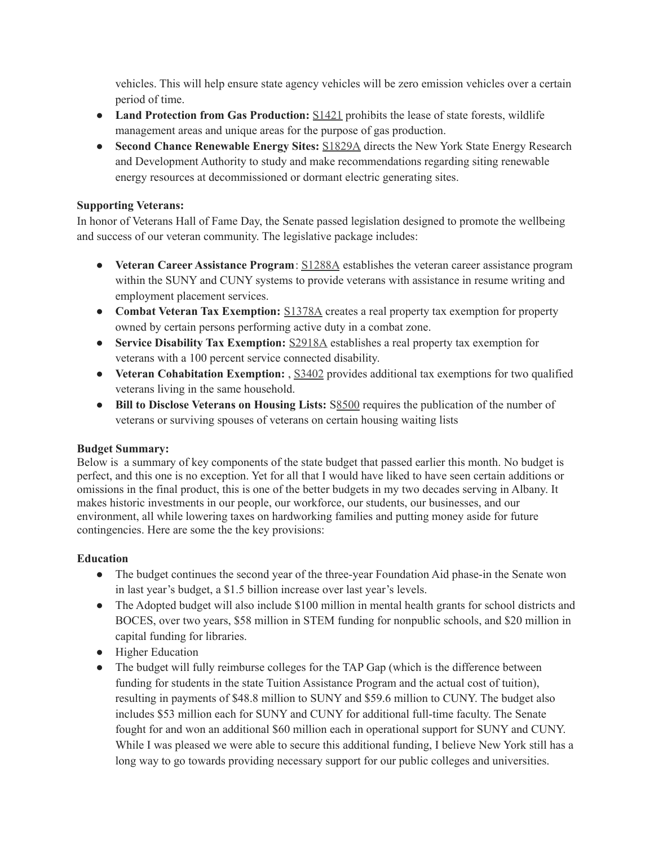vehicles. This will help ensure state agency vehicles will be zero emission vehicles over a certain period of time.

- **Land Protection from Gas Production:** [S1421](http://email.sts.nysenate.gov/ls/click?upn=6lfwSXklqZN5c5KKhNEAmZnPmK-2F-2B4y0qeNSIopQ69yev6DYAOg6ebn2cVv1ogmhB1lTI5-2B-2BQoX4-2B5-2Fj-2B3BpMfw-3D-3DyVzX_EFaYE6byU8xmv53bP-2FtPjLUFooL9pJiP0TjoX0IJ0UjWbCQqp-2B-2BhWAZHO6lLcV0IxKe6EmxtrHHs3ubmYz-2FR-2Fdi0XXGMT9-2F3J8G8iEd8wvg1QjWt6cKLRhHPob0kJaLH91YuHlsT6mZ-2FX-2FHdpS3QrAUNsMy7wth5HAgt-2BkZyH0IV5OO3erY9lQSHXpFHUmKz9xWp4ya9225WPUgxwPVstnfT-2FffXKPRYUC9us854dQ6SPUpGGxxQLh5ofTLUn-2BXyrLvocvkXjQ0yRMDNaxaFfIuPRiFBjrkbUOF-2B4jX0S9s0xmJriAlrhn39AcDkXnEsy5IohYePqNd3rlmi8YiJeGR-2BDzSVzmq6hor-2FZWAJfit8Wnqjzn5E0C7T7i9dOBXWqyFgEbVjw4ml28io8D5cXS7qk28GObhUIh20VJIo1x-2BCUN1AtKKfJmhECYbG5o-2BPJ3hn146WFGXcGEKXHN-2BsHhE5vz4v6Lw6rJX41qBsdgFUpb0PDKEFbkeogHkU7KJeIMNDwMwc6RWdSojqfRYDcgRSncYxJh0qpN9ytEqiPgo-3D) prohibits the lease of state forests, wildlife management areas and unique areas for the purpose of gas production.
- **Second Chance Renewable Energy Sites:** [S1829A](http://email.sts.nysenate.gov/ls/click?upn=6lfwSXklqZN5c5KKhNEAmZnPmK-2F-2B4y0qeNSIopQ69yev6DYAOg6ebn2cVv1ogmhBOp4PeJ8oVrwNdf5TAWcd-2F6RtdCF-2BhFsz5MZjA0vHYmOShwIb2G5ETEYCNVptpaQ02AgiB8kMcBqqx114gUgPNJCJeVaWXV1DnJxcrUTRbN39jRO7B-2F6PC6Y-2Fmp13OPw7fCNsG-2FV81IDu3L-2BX-2BzyDC3aFUNggHYIL3L2dLzGF-2FhY-3Di488_EFaYE6byU8xmv53bP-2FtPjLUFooL9pJiP0TjoX0IJ0UjWbCQqp-2B-2BhWAZHO6lLcV0IxKe6EmxtrHHs3ubmYz-2FR-2Fdi0XXGMT9-2F3J8G8iEd8wvg1QjWt6cKLRhHPob0kJaLH91YuHlsT6mZ-2FX-2FHdpS3QrAUNsMy7wth5HAgt-2BkZyH0IV5OO3erY9lQSHXpFHUmKz9xWp4ya9225WPUgxwPVstnfT-2FffXKPRYUC9us854dQ6SPUpGGxxQLh5ofTLUn-2BXyrLvocvkXjQ0yRMDNaxaFfIuPRiFBjrkbUOF-2B4jX0S9vbaUEsbXpyE8RB7ROgSRLJZ5Gt21gENnJMTR0xssrewt1LORUwsO-2FhLmfIS8v2k3Zw-2FfEDQ3lwuq3cyQnAXpCf-2BRGP0E2KT-2FNuPyjvFtjZWa4ElSUKv9p-2FIpgulxget-2FIedIGSBWp6cn-2BoEjISTCf1c6iBqm5NuBcQ2IoF8bm38HIxxQZjvdGgGkeFTpjV5L75hRPtqp9IC99Z1VEJIhiPXr79E-2FSrTq5pjePVw-2ByDNNncupqDToJ0CTK-2F7EgTbsw-3D) directs the New York State Energy Research and Development Authority to study and make recommendations regarding siting renewable energy resources at decommissioned or dormant electric generating sites.

### **Supporting Veterans:**

In honor of Veterans Hall of Fame Day, the Senate passed legislation designed to promote the wellbeing and success of our veteran community. The legislative package includes:

- **Veteran Career Assistance Program**: [S1288A](http://email.sts.nysenate.gov/ls/click?upn=6lfwSXklqZN5c5KKhNEAmZnPmK-2F-2B4y0qeNSIopQ69yev6DYAOg6ebn2cVv1ogmhBOVbrrK2b1eJc3-2FKpCgMJzw-3D-3Dfi-u_EFaYE6byU8xmv53bP-2FtPjLUFooL9pJiP0TjoX0IJ0UjWbCQqp-2B-2BhWAZHO6lLcV0IxKe6EmxtrHHs3ubmYz-2FR-2Fdi0XXGMT9-2F3J8G8iEd8wvg1QjWt6cKLRhHPob0kJaLH91YuHlsT6mZ-2FX-2FHdpS3QrKA-2F4V0tHU51Cny-2B8zYHsUT3T7l-2BGCkn-2FKdVXBLOmknZJ-2BvTnmH-2B0qxQfQgDOFuYPDjZqLBzLlFZdyRvCxDwKULsKMHNmLI4tm7LF5nHs2sOfZnQEkSayNuhuViKDyIrUnH-2BPFj4UbdTL391sDzBFedC-2B8E9UL2AtcyOV-2F-2BYWF6PqV1PhueaYDW1NRWQcU1V8qFgwRHMk5lHh5geOLMxBUl7q3AV0ffRqcWttT70x7FO3k-2Fy33vCJVqqoNa9PDKLYEmoTmzeo3JB9qX2Fo-2BBsztE4fPiYb4tWdoBR7H039i8PzQ6hLOGBjHzhSthixh-2B2U4Rxt4eTuXXX9SfFWVVILHPuGglS8owf7PU0C7KhCVSrttd0w2FVH6-2B-2B4reMyhCXb0OgznsEhcodByGhJQ-2BOWo8ZPagkyH7bGbH41pacjZFxAC-2FF1n-2Fzfh-2BCDVzxqm9iE5mxeULSOxHZzAnX3YkVh4-3D) establishes the veteran career assistance program within the SUNY and CUNY systems to provide veterans with assistance in resume writing and employment placement services.
- **Combat Veteran Tax Exemption:** [S1378A](http://email.sts.nysenate.gov/ls/click?upn=6lfwSXklqZN5c5KKhNEAmZnPmK-2F-2B4y0qeNSIopQ69yev6DYAOg6ebn2cVv1ogmhBMYUu5Npuk-2FpGpJOLDYysjg-3D-3DF4wm_EFaYE6byU8xmv53bP-2FtPjLUFooL9pJiP0TjoX0IJ0UjWbCQqp-2B-2BhWAZHO6lLcV0IxKe6EmxtrHHs3ubmYz-2FR-2Fdi0XXGMT9-2F3J8G8iEd8wvg1QjWt6cKLRhHPob0kJaLH91YuHlsT6mZ-2FX-2FHdpS3QrKA-2F4V0tHU51Cny-2B8zYHsUT3T7l-2BGCkn-2FKdVXBLOmknZJ-2BvTnmH-2B0qxQfQgDOFuYPDjZqLBzLlFZdyRvCxDwKULsKMHNmLI4tm7LF5nHs2sOfZnQEkSayNuhuViKDyIrUnH-2BPFj4UbdTL391sDzBFeeJu9t5krDyBUWtTFL96SRTdwQf4DMwqVJfq8bUXWaRXhdLUfMdzC4IigBzaYqzljqmGGUPzdzrvH8-2F-2BvYtF0Kza3oXCmNf0mjUrT0fiHOjVSmAnpYeH7AnOOyK51F6ColZe-2BjsOnLnmsRQu09BufZY53RviYoVgXyava74l62Qrxtd3OrlzKoQ9ESST-2FLutTJJBl2Uerj68pL4l3LmEPUnChuwlWye2nsju86u5vwbshiQY9R4bW1BWz-2BhivrXFRcmevGQKNxo8ON1rhhBwDMg3R3fFYiyUoYTIkMiGHb-2FNWyxG9KUak7nJ-2BSw9oS9TeM-3D) creates a real property tax exemption for property owned by certain persons performing active duty in a combat zone.
- **Service Disability Tax Exemption:** [S2918A](http://email.sts.nysenate.gov/ls/click?upn=6lfwSXklqZN5c5KKhNEAmZnPmK-2F-2B4y0qeNSIopQ69yev6DYAOg6ebn2cVv1ogmhB7ynPOWYr-2FNfG8p8yuFSDSA-3D-3D0EoN_EFaYE6byU8xmv53bP-2FtPjLUFooL9pJiP0TjoX0IJ0UjWbCQqp-2B-2BhWAZHO6lLcV0IxKe6EmxtrHHs3ubmYz-2FR-2Fdi0XXGMT9-2F3J8G8iEd8wvg1QjWt6cKLRhHPob0kJaLH91YuHlsT6mZ-2FX-2FHdpS3QrKA-2F4V0tHU51Cny-2B8zYHsUT3T7l-2BGCkn-2FKdVXBLOmknZJ-2BvTnmH-2B0qxQfQgDOFuYPDjZqLBzLlFZdyRvCxDwKULsKMHNmLI4tm7LF5nHs2sOfZnQEkSayNuhuViKDyIrUnH-2BPFj4UbdTL391sDzBFedBXUExoeb6NHCztLLZ6FWcC1QM30Eo9DGdYkQAEliC1jZhzh8iWzPhv6zKJHoZD3YoEMRH6VwCTXIpQYIzqYFUQl1-2B4X8ld-2BTxY5uaOenn6IygSwJ-2Fgd6AKI4wFF8d8DMOjCPqy27kOS-2BRlDsGHlJSDjZuRXT4Lz0FrvgIq47FQRFimkrOj9GJNphotEBTd-2B37t5abxXZWCP3EDDAvBeHvYCUXPeT59bt2Ulc7lUaF8XDsBCA6w1Ak8-2BFKC3tMDgtdSHm2PEf29-2FPslvTKgGeIJeQ-2Bpq2dfoQk0RhEaokx1oxugQ1Er9nQ241PAACF3F4-3D) establishes a real property tax exemption for veterans with a 100 percent service connected disability.
- **Veteran Cohabitation Exemption:** , [S3402](http://email.sts.nysenate.gov/ls/click?upn=6lfwSXklqZN5c5KKhNEAmZnPmK-2F-2B4y0qeNSIopQ69yev6DYAOg6ebn2cVv1ogmhBpLzMD5Lwgg7V8LhWQDBaRQ-3D-3DC4zp_EFaYE6byU8xmv53bP-2FtPjLUFooL9pJiP0TjoX0IJ0UjWbCQqp-2B-2BhWAZHO6lLcV0IxKe6EmxtrHHs3ubmYz-2FR-2Fdi0XXGMT9-2F3J8G8iEd8wvg1QjWt6cKLRhHPob0kJaLH91YuHlsT6mZ-2FX-2FHdpS3QrKA-2F4V0tHU51Cny-2B8zYHsUT3T7l-2BGCkn-2FKdVXBLOmknZJ-2BvTnmH-2B0qxQfQgDOFuYPDjZqLBzLlFZdyRvCxDwKULsKMHNmLI4tm7LF5nHs2sOfZnQEkSayNuhuViKDyIrUnH-2BPFj4UbdTL391sDzBFedZwLyCxs28JnINxRQA7KaMX-2FRKHV-2FDjxOnpf6Ys6kkalukQ3wYQXRlHbaQiBZleIm7Uhe-2BO6JBbwUqvjVdkCyVowIvS-2BfSQUJBncX2hckw8nV0VWfQ1oCHCx33vy59H-2F-2B8MIk61inG8anlE5qaiKBP1-2BA7hjrr6PayEHhuQ6n6MKxft-2FR9fU1TDxF6215vhghrVDTK-2BkNx-2FbPVkxYs9y-2FPbNBZ9shmvQUEn0vgbI1ur-2Fe1NeD2xC8MKkVegEypxkbGpKp0OWfHHzAsMfY-2FjQjKtuNce59jqeXarZq2z-2BCDDMu8AATDzf13os-2FMH7yCi5g-3D) provides additional tax exemptions for two qualified veterans living in the same household.
- **Bill to Disclose Veterans on Housing Lists:** S[8500](http://email.sts.nysenate.gov/ls/click?upn=6lfwSXklqZN5c5KKhNEAmZnPmK-2F-2B4y0qeNSIopQ69yev6DYAOg6ebn2cVv1ogmhB9ziYINcYQcahuXvsFJk-2BvA-3D-3DomyF_EFaYE6byU8xmv53bP-2FtPjLUFooL9pJiP0TjoX0IJ0UjWbCQqp-2B-2BhWAZHO6lLcV0IxKe6EmxtrHHs3ubmYz-2FR-2Fdi0XXGMT9-2F3J8G8iEd8wvg1QjWt6cKLRhHPob0kJaLH91YuHlsT6mZ-2FX-2FHdpS3QrKA-2F4V0tHU51Cny-2B8zYHsUT3T7l-2BGCkn-2FKdVXBLOmknZJ-2BvTnmH-2B0qxQfQgDOFuYPDjZqLBzLlFZdyRvCxDwKULsKMHNmLI4tm7LF5nHs2sOfZnQEkSayNuhuViKDyIrUnH-2BPFj4UbdTL391sDzBFeeUpfJ86nYkCT0EJ5DlB9y0B5kS-2Fr1mlvZzrOYDOHytejrqI1Yk0aLpfjPjoaRAbfD5OJQESM6NEMJxJ-2B3rDKSbSHayQfjha0jo-2FD0a-2BrtOZSpydy1sYmTH79gpWhbawq0T2XtdbLtJnJtVHB683fWyocXzk0FTKYMaRFgAkXhJ-2BZRcm78iztny9KJFkdz7dukVLVG7-2BL5N08Nm24Q8BkUE2jlneDN70-2B8qy-2BLZ8EPR4ByxAKYDxh813a8WCq2zBH4dZ-2FBdHX-2FF91tEoBwQ9SNfzErNGykIbCm50jiYfoQAM2HGndVAZ-2BcnUnko-2B-2FSxKjg-3D) requires the publication of the number of veterans or surviving spouses of veterans on certain housing waiting lists

#### **Budget Summary:**

Below is a summary of key components of the state budget that passed earlier this month. No budget is perfect, and this one is no exception. Yet for all that I would have liked to have seen certain additions or omissions in the final product, this is one of the better budgets in my two decades serving in Albany. It makes historic investments in our people, our workforce, our students, our businesses, and our environment, all while lowering taxes on hardworking families and putting money aside for future contingencies. Here are some the the key provisions:

### **Education**

- The budget continues the second year of the three-year Foundation Aid phase-in the Senate won in last year's budget, a \$1.5 billion increase over last year's levels.
- The Adopted budget will also include \$100 million in mental health grants for school districts and BOCES, over two years, \$58 million in STEM funding for nonpublic schools, and \$20 million in capital funding for libraries.
- Higher Education
- The budget will fully reimburse colleges for the TAP Gap (which is the difference between funding for students in the state Tuition Assistance Program and the actual cost of tuition), resulting in payments of \$48.8 million to SUNY and \$59.6 million to CUNY. The budget also includes \$53 million each for SUNY and CUNY for additional full-time faculty. The Senate fought for and won an additional \$60 million each in operational support for SUNY and CUNY. While I was pleased we were able to secure this additional funding, I believe New York still has a long way to go towards providing necessary support for our public colleges and universities.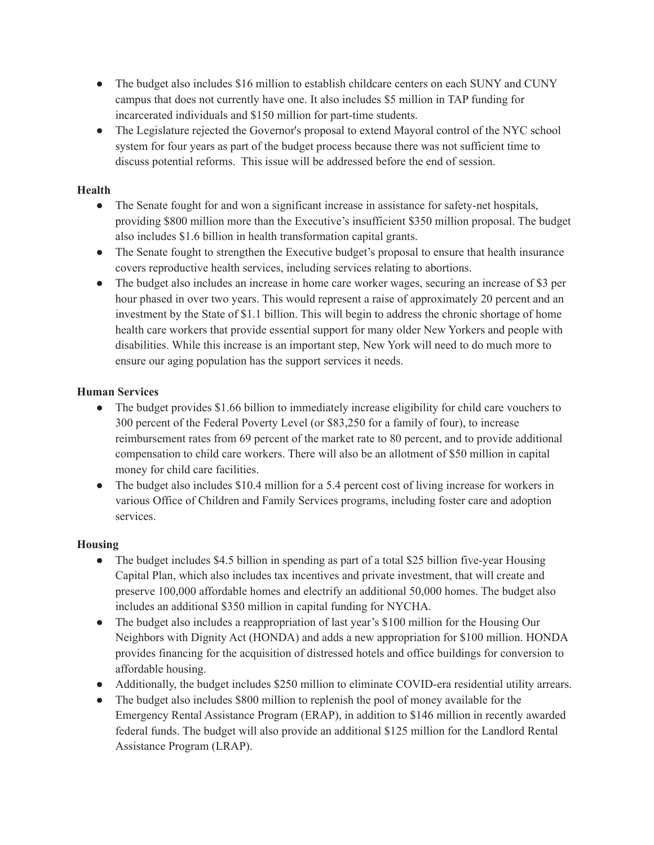- The budget also includes \$16 million to establish childcare centers on each SUNY and CUNY campus that does not currently have one. It also includes \$5 million in TAP funding for incarcerated individuals and \$150 million for part-time students.
- The Legislature rejected the Governor's proposal to extend Mayoral control of the NYC school system for four years as part of the budget process because there was not sufficient time to discuss potential reforms. This issue will be addressed before the end of session.

## **Health**

- The Senate fought for and won a significant increase in assistance for safety-net hospitals, providing \$800 million more than the Executive's insufficient \$350 million proposal. The budget also includes \$1.6 billion in health transformation capital grants.
- The Senate fought to strengthen the Executive budget's proposal to ensure that health insurance covers reproductive health services, including services relating to abortions.
- The budget also includes an increase in home care worker wages, securing an increase of \$3 per hour phased in over two years. This would represent a raise of approximately 20 percent and an investment by the State of \$1.1 billion. This will begin to address the chronic shortage of home health care workers that provide essential support for many older New Yorkers and people with disabilities. While this increase is an important step, New York will need to do much more to ensure our aging population has the support services it needs.

# **Human Services**

- The budget provides \$1.66 billion to immediately increase eligibility for child care vouchers to 300 percent of the Federal Poverty Level (or \$83,250 for a family of four), to increase reimbursement rates from 69 percent of the market rate to 80 percent, and to provide additional compensation to child care workers. There will also be an allotment of \$50 million in capital money for child care facilities.
- The budget also includes \$10.4 million for a 5.4 percent cost of living increase for workers in various Office of Children and Family Services programs, including foster care and adoption services.

### **Housing**

- The budget includes \$4.5 billion in spending as part of a total \$25 billion five-year Housing Capital Plan, which also includes tax incentives and private investment, that will create and preserve 100,000 affordable homes and electrify an additional 50,000 homes. The budget also includes an additional \$350 million in capital funding for NYCHA.
- The budget also includes a reappropriation of last year's \$100 million for the Housing Our Neighbors with Dignity Act (HONDA) and adds a new appropriation for \$100 million. HONDA provides financing for the acquisition of distressed hotels and office buildings for conversion to affordable housing.
- Additionally, the budget includes \$250 million to eliminate COVID-era residential utility arrears.
- The budget also includes \$800 million to replenish the pool of money available for the Emergency Rental Assistance Program (ERAP), in addition to \$146 million in recently awarded federal funds. The budget will also provide an additional \$125 million for the Landlord Rental Assistance Program (LRAP).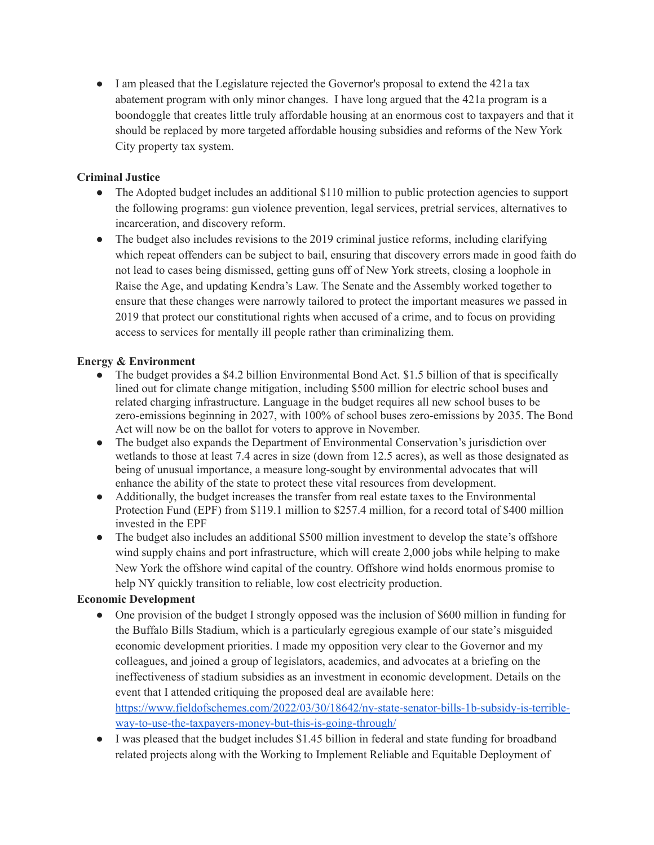● I am pleased that the Legislature rejected the Governor's proposal to extend the 421a tax abatement program with only minor changes. I have long argued that the 421a program is a boondoggle that creates little truly affordable housing at an enormous cost to taxpayers and that it should be replaced by more targeted affordable housing subsidies and reforms of the New York City property tax system.

# **Criminal Justice**

- The Adopted budget includes an additional \$110 million to public protection agencies to support the following programs: gun violence prevention, legal services, pretrial services, alternatives to incarceration, and discovery reform.
- The budget also includes revisions to the 2019 criminal justice reforms, including clarifying which repeat offenders can be subject to bail, ensuring that discovery errors made in good faith do not lead to cases being dismissed, getting guns off of New York streets, closing a loophole in Raise the Age, and updating Kendra's Law. The Senate and the Assembly worked together to ensure that these changes were narrowly tailored to protect the important measures we passed in 2019 that protect our constitutional rights when accused of a crime, and to focus on providing access to services for mentally ill people rather than criminalizing them.

### **Energy & Environment**

- The budget provides a \$4.2 billion Environmental Bond Act. \$1.5 billion of that is specifically lined out for climate change mitigation, including \$500 million for electric school buses and related charging infrastructure. Language in the budget requires all new school buses to be zero-emissions beginning in 2027, with 100% of school buses zero-emissions by 2035. The Bond Act will now be on the ballot for voters to approve in November.
- The budget also expands the Department of Environmental Conservation's jurisdiction over wetlands to those at least 7.4 acres in size (down from 12.5 acres), as well as those designated as being of unusual importance, a measure long-sought by environmental advocates that will enhance the ability of the state to protect these vital resources from development.
- Additionally, the budget increases the transfer from real estate taxes to the Environmental Protection Fund (EPF) from \$119.1 million to \$257.4 million, for a record total of \$400 million invested in the EPF
- The budget also includes an additional \$500 million investment to develop the state's offshore wind supply chains and port infrastructure, which will create 2,000 jobs while helping to make New York the offshore wind capital of the country. Offshore wind holds enormous promise to help NY quickly transition to reliable, low cost electricity production.

### **Economic Development**

- One provision of the budget I strongly opposed was the inclusion of \$600 million in funding for the Buffalo Bills Stadium, which is a particularly egregious example of our state's misguided economic development priorities. I made my opposition very clear to the Governor and my colleagues, and joined a group of legislators, academics, and advocates at a briefing on the ineffectiveness of stadium subsidies as an investment in economic development. Details on the event that I attended critiquing the proposed deal are available here: [https://www.fieldofschemes.com/2022/03/30/18642/ny-state-senator-bills-1b-subsidy-is-terrible](https://www.fieldofschemes.com/2022/03/30/18642/ny-state-senator-bills-1b-subsidy-is-terrible-way-to-use-the-taxpayers-money-but-this-is-going-through/)[way-to-use-the-taxpayers-money-but-this-is-going-through/](https://www.fieldofschemes.com/2022/03/30/18642/ny-state-senator-bills-1b-subsidy-is-terrible-way-to-use-the-taxpayers-money-but-this-is-going-through/)
- I was pleased that the budget includes \$1.45 billion in federal and state funding for broadband related projects along with the Working to Implement Reliable and Equitable Deployment of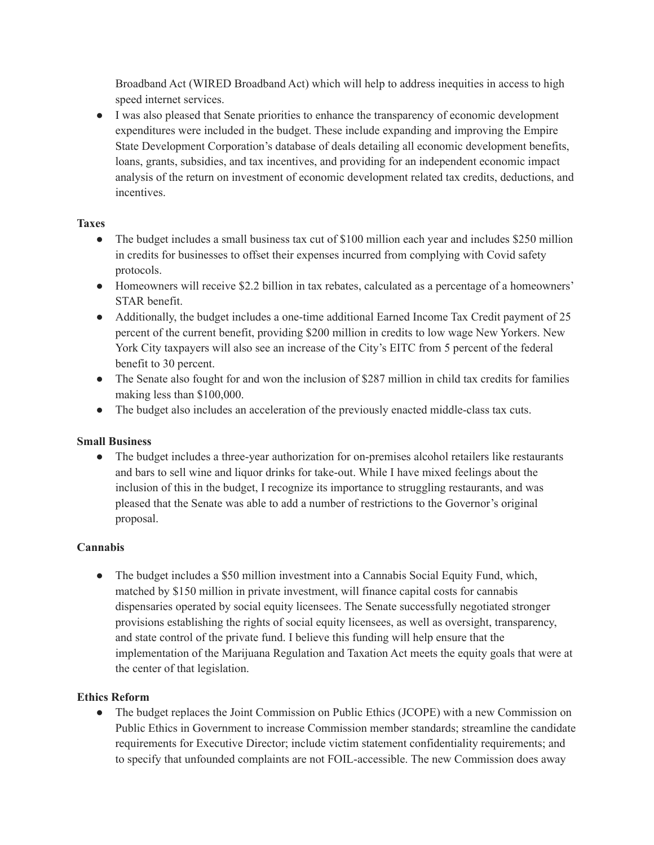Broadband Act (WIRED Broadband Act) which will help to address inequities in access to high speed internet services.

● I was also pleased that Senate priorities to enhance the transparency of economic development expenditures were included in the budget. These include expanding and improving the Empire State Development Corporation's database of deals detailing all economic development benefits, loans, grants, subsidies, and tax incentives, and providing for an independent economic impact analysis of the return on investment of economic development related tax credits, deductions, and incentives.

# **Taxes**

- The budget includes a small business tax cut of \$100 million each year and includes \$250 million in credits for businesses to offset their expenses incurred from complying with Covid safety protocols.
- Homeowners will receive \$2.2 billion in tax rebates, calculated as a percentage of a homeowners' STAR benefit.
- Additionally, the budget includes a one-time additional Earned Income Tax Credit payment of 25 percent of the current benefit, providing \$200 million in credits to low wage New Yorkers. New York City taxpayers will also see an increase of the City's EITC from 5 percent of the federal benefit to 30 percent.
- The Senate also fought for and won the inclusion of \$287 million in child tax credits for families making less than \$100,000.
- The budget also includes an acceleration of the previously enacted middle-class tax cuts.

### **Small Business**

● The budget includes a three-year authorization for on-premises alcohol retailers like restaurants and bars to sell wine and liquor drinks for take-out. While I have mixed feelings about the inclusion of this in the budget, I recognize its importance to struggling restaurants, and was pleased that the Senate was able to add a number of restrictions to the Governor's original proposal.

### **Cannabis**

• The budget includes a \$50 million investment into a Cannabis Social Equity Fund, which, matched by \$150 million in private investment, will finance capital costs for cannabis dispensaries operated by social equity licensees. The Senate successfully negotiated stronger provisions establishing the rights of social equity licensees, as well as oversight, transparency, and state control of the private fund. I believe this funding will help ensure that the implementation of the Marijuana Regulation and Taxation Act meets the equity goals that were at the center of that legislation.

### **Ethics Reform**

• The budget replaces the Joint Commission on Public Ethics (JCOPE) with a new Commission on Public Ethics in Government to increase Commission member standards; streamline the candidate requirements for Executive Director; include victim statement confidentiality requirements; and to specify that unfounded complaints are not FOIL-accessible. The new Commission does away